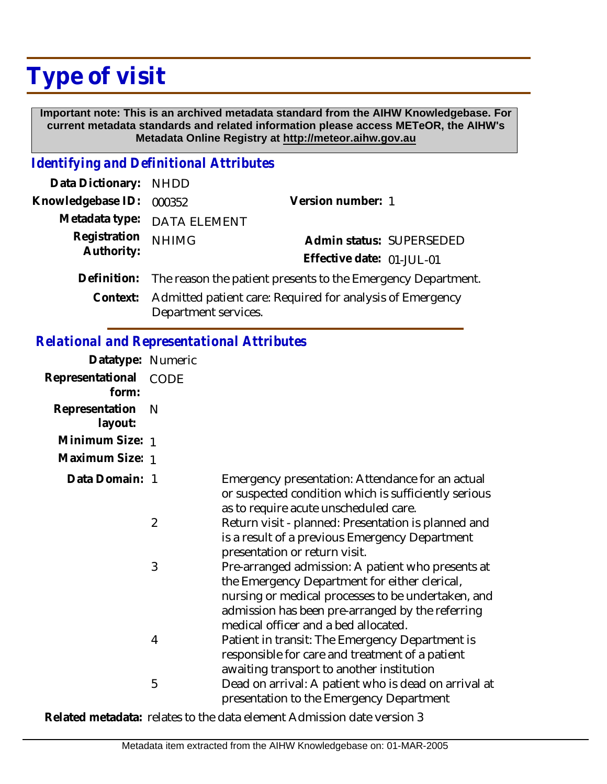# **Type of visit**

 **Important note: This is an archived metadata standard from the AIHW Knowledgebase. For current metadata standards and related information please access METeOR, the AIHW's Metadata Online Registry at http://meteor.aihw.gov.au**

#### *Identifying and Definitional Attributes*

| Data Dictionary: NHDD |                                                                                   |                           |
|-----------------------|-----------------------------------------------------------------------------------|---------------------------|
| Knowledgebase ID:     | 000352                                                                            | Version number: 1         |
|                       | Metadata type: DATA ELEMENT                                                       |                           |
| Registration          | <b>NHIMG</b>                                                                      | Admin status: SUPERSEDED  |
| Authority:            |                                                                                   | Effective date: 01-JUL-01 |
|                       | Definition: The reason the patient presents to the Emergency Department.          |                           |
| Context:              | Admitted patient care: Required for analysis of Emergency<br>Department services. |                           |

### *Relational and Representational Attributes*

| Datatype: Numeric         |                |                                                                                                                                                                                                                                                      |
|---------------------------|----------------|------------------------------------------------------------------------------------------------------------------------------------------------------------------------------------------------------------------------------------------------------|
| Representational<br>form: | CODE           |                                                                                                                                                                                                                                                      |
| Representation<br>layout: | N              |                                                                                                                                                                                                                                                      |
| Minimum Size: 1           |                |                                                                                                                                                                                                                                                      |
| Maximum Size: 1           |                |                                                                                                                                                                                                                                                      |
| Data Domain: 1            |                | Emergency presentation: Attendance for an actual<br>or suspected condition which is sufficiently serious<br>as to require acute unscheduled care.                                                                                                    |
|                           | $\overline{2}$ | Return visit - planned: Presentation is planned and<br>is a result of a previous Emergency Department<br>presentation or return visit.                                                                                                               |
|                           | 3              | Pre-arranged admission: A patient who presents at<br>the Emergency Department for either clerical,<br>nursing or medical processes to be undertaken, and<br>admission has been pre-arranged by the referring<br>medical officer and a bed allocated. |
|                           | 4              | Patient in transit: The Emergency Department is<br>responsible for care and treatment of a patient<br>awaiting transport to another institution                                                                                                      |
|                           | 5              | Dead on arrival: A patient who is dead on arrival at<br>presentation to the Emergency Department                                                                                                                                                     |

**Related metadata:** relates to the data element Admission date version 3